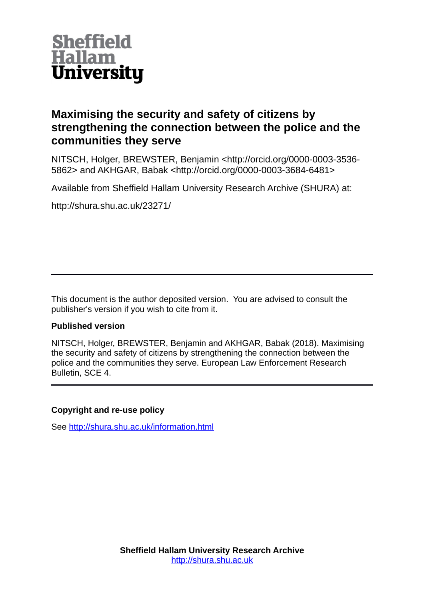

### **Maximising the security and safety of citizens by strengthening the connection between the police and the communities they serve**

NITSCH, Holger, BREWSTER, Benjamin <http://orcid.org/0000-0003-3536- 5862> and AKHGAR, Babak <http://orcid.org/0000-0003-3684-6481>

Available from Sheffield Hallam University Research Archive (SHURA) at:

http://shura.shu.ac.uk/23271/

This document is the author deposited version. You are advised to consult the publisher's version if you wish to cite from it.

#### **Published version**

NITSCH, Holger, BREWSTER, Benjamin and AKHGAR, Babak (2018). Maximising the security and safety of citizens by strengthening the connection between the police and the communities they serve. European Law Enforcement Research Bulletin, SCE 4.

#### **Copyright and re-use policy**

See<http://shura.shu.ac.uk/information.html>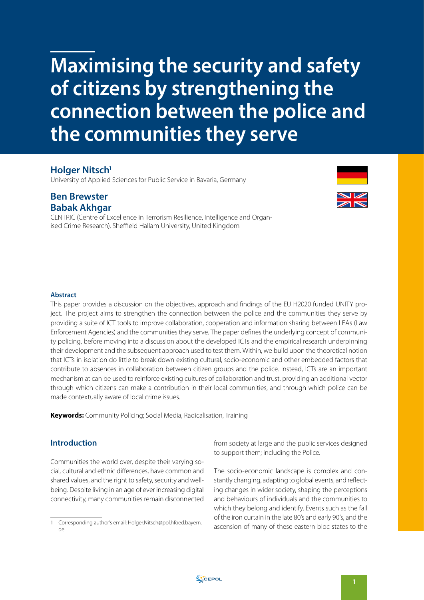## **Maximising the security and safety of citizens by strengthening the connection between the police and the communities they serve**

#### **Holger Nitsch<sup>1</sup>**

University of Applied Sciences for Public Service in Bavaria, Germany

#### **Ben Brewster Babak Akhgar**

CENTRIC (Centre of Excellence in Terrorism Resilience, Intelligence and Organised Crime Research), Sheffield Hallam University, United Kingdom



#### **Abstract**

This paper provides a discussion on the objectives, approach and findings of the EU H2020 funded UNITY project. The project aims to strengthen the connection between the police and the communities they serve by providing a suite of ICT tools to improve collaboration, cooperation and information sharing between LEAs (Law Enforcement Agencies) and the communities they serve. The paper defines the underlying concept of community policing, before moving into a discussion about the developed ICTs and the empirical research underpinning their development and the subsequent approach used to test them. Within, we build upon the theoretical notion that ICTs in isolation do little to break down existing cultural, socio-economic and other embedded factors that contribute to absences in collaboration between citizen groups and the police. Instead, ICTs are an important mechanism at can be used to reinforce existing cultures of collaboration and trust, providing an additional vector through which citizens can make a contribution in their local communities, and through which police can be made contextually aware of local crime issues.

**Keywords:** Community Policing; Social Media, Radicalisation, Training

#### **Introduction**

Communities the world over, despite their varying social, cultural and ethnic differences, have common and shared values, and the right to safety, security and wellbeing. Despite living in an age of ever increasing digital connectivity, many communities remain disconnected

from society at large and the public services designed to support them; including the Police.

The socio-economic landscape is complex and constantly changing, adapting to global events, and reflecting changes in wider society, shaping the perceptions and behaviours of individuals and the communities to which they belong and identify. Events such as the fall of the iron curtain in the late 80's and early 90's, and the ascension of many of these eastern bloc states to the

<sup>1</sup> Corresponding author's email: [Holger.Nitsch@pol.hfoed.bayern.](mailto:Holger.Nitsch@pol.hfoed.bayern.de) [de](mailto:Holger.Nitsch@pol.hfoed.bayern.de)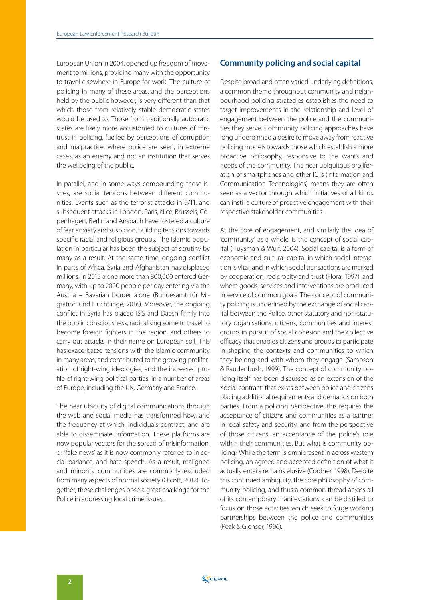European Union in 2004, opened up freedom of movement to millions, providing many with the opportunity to travel elsewhere in Europe for work. The culture of policing in many of these areas, and the perceptions held by the public however, is very different than that which those from relatively stable democratic states would be used to. Those from traditionally autocratic states are likely more accustomed to cultures of mistrust in policing, fuelled by perceptions of corruption and malpractice, where police are seen, in extreme cases, as an enemy and not an institution that serves the wellbeing of the public.

In parallel, and in some ways compounding these issues, are social tensions between different communities. Events such as the terrorist attacks in 9/11, and subsequent attacks in London, Paris, Nice, Brussels, Copenhagen, Berlin and Ansbach have fostered a culture of fear, anxiety and suspicion, building tensions towards specific racial and religious groups. The Islamic population in particular has been the subject of scrutiny by many as a result. At the same time, ongoing conflict in parts of Africa, Syria and Afghanistan has displaced millions. In 2015 alone more than 800,000 entered Germany, with up to 2000 people per day entering via the Austria – Bavarian border alone (Bundesamt für Migration und Flüchtlinge, 2016). Moreover, the ongoing conflict in Syria has placed ISIS and Daesh firmly into the public consciousness, radicalising some to travel to become foreign fighters in the region, and others to carry out attacks in their name on European soil. This has exacerbated tensions with the Islamic community in many areas, and contributed to the growing proliferation of right-wing ideologies, and the increased profile of right-wing political parties, in a number of areas of Europe, including the UK, Germany and France.

The near ubiquity of digital communications through the web and social media has transformed how, and the frequency at which, individuals contract, and are able to disseminate, information. These platforms are now popular vectors for the spread of misinformation, or 'fake news' as it is now commonly referred to in social parlance, and hate-speech. As a result, maligned and minority communities are commonly excluded from many aspects of normal society (Olcott, 2012). Together, these challenges pose a great challenge for the Police in addressing local crime issues.

#### **Community policing and social capital**

Despite broad and often varied underlying definitions, a common theme throughout community and neighbourhood policing strategies establishes the need to target improvements in the relationship and level of engagement between the police and the communities they serve. Community policing approaches have long underpinned a desire to move away from reactive policing models towards those which establish a more proactive philosophy, responsive to the wants and needs of the community. The near ubiquitous proliferation of smartphones and other ICTs (Information and Communication Technologies) means they are often seen as a vector through which initiatives of all kinds can instil a culture of proactive engagement with their respective stakeholder communities.

At the core of engagement, and similarly the idea of 'community' as a whole, is the concept of social capital (Huysman & Wulf, 2004). Social capital is a form of economic and cultural capital in which social interaction is vital, and in which social transactions are marked by cooperation, reciprocity and trust (Flora, 1997), and where goods, services and interventions are produced in service of common goals. The concept of community policing is underlined by the exchange of social capital between the Police, other statutory and non-statutory organisations, citizens, communities and interest groups in pursuit of social cohesion and the collective efficacy that enables citizens and groups to participate in shaping the contexts and communities to which they belong and with whom they engage (Sampson & Raudenbush, 1999). The concept of community policing itself has been discussed as an extension of the 'social contract' that exists between police and citizens placing additional requirements and demands on both parties. From a policing perspective, this requires the acceptance of citizens and communities as a partner in local safety and security, and from the perspective of those citizens, an acceptance of the police's role within their communities. But what is community policing? While the term is omnipresent in across western policing, an agreed and accepted definition of what it actually entails remains elusive (Cordner, 1998). Despite this continued ambiguity, the core philosophy of community policing, and thus a common thread across all of its contemporary manifestations, can be distilled to focus on those activities which seek to forge working partnerships between the police and communities (Peak & Glensor, 1996).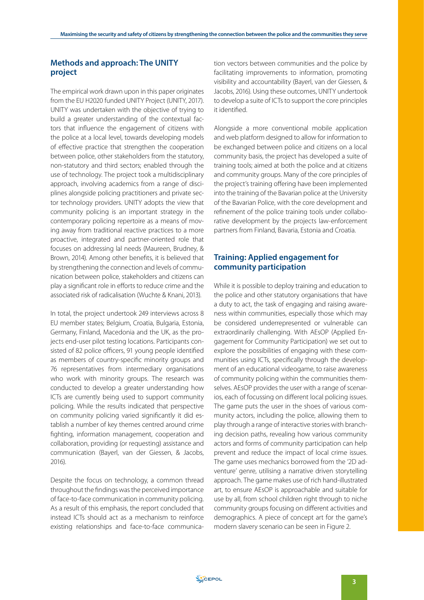#### **Methods and approach: The UNITY project**

The empirical work drawn upon in this paper originates from the EU H2020 funded UNITY Project (UNITY, 2017). UNITY was undertaken with the objective of trying to build a greater understanding of the contextual factors that influence the engagement of citizens with the police at a local level, towards developing models of effective practice that strengthen the cooperation between police, other stakeholders from the statutory, non-statutory and third sectors; enabled through the use of technology. The project took a multidisciplinary approach, involving academics from a range of disciplines alongside policing practitioners and private sector technology providers. UNITY adopts the view that community policing is an important strategy in the contemporary policing repertoire as a means of moving away from traditional reactive practices to a more proactive, integrated and partner-oriented role that focuses on addressing lal needs (Maureen, Brudney, & Brown, 2014). Among other benefits, it is believed that by strengthening the connection and levels of communication between police, stakeholders and citizens can play a significant role in efforts to reduce crime and the associated risk of radicalisation (Wuchte & Knani, 2013).

In total, the project undertook 249 interviews across 8 EU member states; Belgium, Croatia, Bulgaria, Estonia, Germany, Finland, Macedonia and the UK, as the projects end-user pilot testing locations. Participants consisted of 82 police officers, 91 young people identified as members of country-specific minority groups and 76 representatives from intermediary organisations who work with minority groups. The research was conducted to develop a greater understanding how ICTs are currently being used to support community policing. While the results indicated that perspective on community policing varied significantly it did establish a number of key themes centred around crime fighting, information management, cooperation and collaboration, providing (or requesting) assistance and communication (Bayerl, van der Giessen, & Jacobs, 2016).

Despite the focus on technology, a common thread throughout the findings was the perceived importance of face-to-face communication in community policing. As a result of this emphasis, the report concluded that instead ICTs should act as a mechanism to reinforce existing relationships and face-to-face communica-

tion vectors between communities and the police by facilitating improvements to information, promoting visibility and accountability (Bayerl, van der Giessen, & Jacobs, 2016). Using these outcomes, UNITY undertook to develop a suite of ICTs to support the core principles it identified.

Alongside a more conventional mobile application and web platform designed to allow for information to be exchanged between police and citizens on a local community basis, the project has developed a suite of training tools; aimed at both the police and at citizens and community groups. Many of the core principles of the project's training offering have been implemented into the training of the Bavarian police at the University of the Bavarian Police, with the core development and refinement of the police training tools under collaborative development by the projects law-enforcement partners from Finland, Bavaria, Estonia and Croatia.

#### **Training: Applied engagement for community participation**

While it is possible to deploy training and education to the police and other statutory organisations that have a duty to act, the task of engaging and raising awareness within communities, especially those which may be considered underrepresented or vulnerable can extraordinarily challenging. With AEsOP (Applied Engagement for Community Participation) we set out to explore the possibilities of engaging with these communities using ICTs, specifically through the development of an educational videogame, to raise awareness of community policing within the communities themselves. AEsOP provides the user with a range of scenarios, each of focussing on different local policing issues. The game puts the user in the shoes of various community actors, including the police, allowing them to play through a range of interactive stories with branching decision paths, revealing how various community actors and forms of community participation can help prevent and reduce the impact of local crime issues. The game uses mechanics borrowed from the '2D adventure' genre, utilising a narrative driven storytelling approach. The game makes use of rich hand-illustrated art, to ensure AEsOP is approachable and suitable for use by all, from school children right through to niche community groups focusing on different activities and demographics. A piece of concept art for the game's modern slavery scenario can be seen in Figure 2.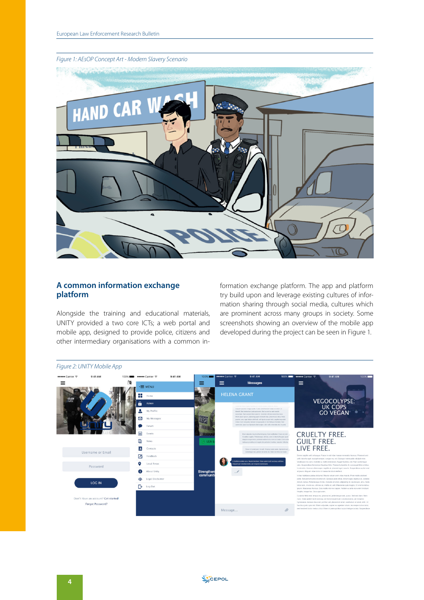# C. HAND CAR V 41 la.

#### **A common information exchange platform**

Alongside the training and educational materials, UNITY provided a two core ICTs; a web portal and mobile app, designed to provide police, citizens and other intermediary organisations with a common information exchange platform. The app and platform try build upon and leverage existing cultures of information sharing through social media, cultures which are prominent across many groups in society. Some screenshots showing an overview of the mobile app developed during the project can be seen in Figure 1.



#### *Figure 1: AEsOP Concept Art - Modern Slavery Scenario*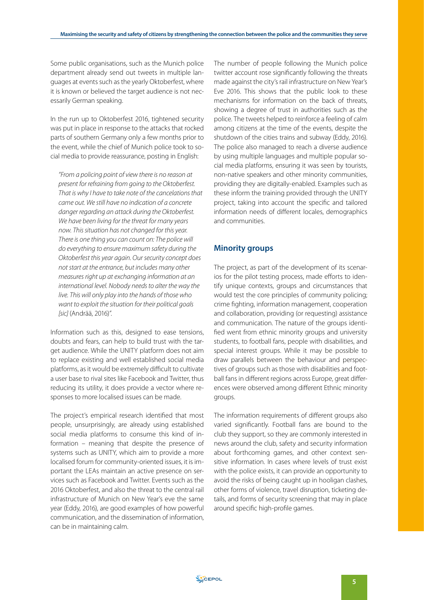Some public organisations, such as the Munich police department already send out tweets in multiple languages at events such as the yearly Oktoberfest, where it is known or believed the target audience is not necessarily German speaking.

In the run up to Oktoberfest 2016, tightened security was put in place in response to the attacks that rocked parts of southern Germany only a few months prior to the event, while the chief of Munich police took to social media to provide reassurance, posting in English:

*"From a policing point of view there is no reason at present for refraining from going to the Oktoberfest. That is why I have to take note of the cancelations that came out. We still have no indication of a concrete danger regarding an attack during the Oktoberfest. We have been living for the threat for many years now. This situation has not changed for this year. There is one thing you can count on: The police will do everything to ensure maximum safety during the Oktoberfest this year again. Our security concept does not start at the entrance, but includes many other measures right up at exchanging information at an international level. Nobody needs to alter the way the live. This will only play into the hands of those who want to exploit the situation for their political goals [sic]* (Andrää, 2016)*".*

Information such as this, designed to ease tensions, doubts and fears, can help to build trust with the target audience. While the UNITY platform does not aim to replace existing and well established social media platforms, as it would be extremely difficult to cultivate a user base to rival sites like Facebook and Twitter, thus reducing its utility, it does provide a vector where responses to more localised issues can be made.

The project's empirical research identified that most people, unsurprisingly, are already using established social media platforms to consume this kind of information – meaning that despite the presence of systems such as UNITY, which aim to provide a more localised forum for community-oriented issues, it is important the LEAs maintain an active presence on services such as Facebook and Twitter. Events such as the 2016 Oktoberfest, and also the threat to the central rail infrastructure of Munich on New Year's eve the same year (Eddy, 2016), are good examples of how powerful communication, and the dissemination of information, can be in maintaining calm.

The number of people following the Munich police twitter account rose significantly following the threats made against the city's rail infrastructure on New Year's Eve 2016. This shows that the public look to these mechanisms for information on the back of threats, showing a degree of trust in authorities such as the police. The tweets helped to reinforce a feeling of calm among citizens at the time of the events, despite the shutdown of the cities trains and subway (Eddy, 2016). The police also managed to reach a diverse audience by using multiple languages and multiple popular social media platforms, ensuring it was seen by tourists, non-native speakers and other minority communities, providing they are digitally-enabled. Examples such as these inform the training provided through the UNITY project, taking into account the specific and tailored information needs of different locales, demographics and communities.

#### **Minority groups**

The project, as part of the development of its scenarios for the pilot testing process, made efforts to identify unique contexts, groups and circumstances that would test the core principles of community policing; crime fighting, information management, cooperation and collaboration, providing (or requesting) assistance and communication. The nature of the groups identified went from ethnic minority groups and university students, to football fans, people with disabilities, and special interest groups. While it may be possible to draw parallels between the behaviour and perspectives of groups such as those with disabilities and football fans in different regions across Europe, great differences were observed among different Ethnic minority groups.

The information requirements of different groups also varied significantly. Football fans are bound to the club they support, so they are commonly interested in news around the club, safety and security information about forthcoming games, and other context sensitive information. In cases where levels of trust exist with the police exists, it can provide an opportunity to avoid the risks of being caught up in hooligan clashes, other forms of violence, travel disruption, ticketing details, and forms of security screening that may in place around specific high-profile games.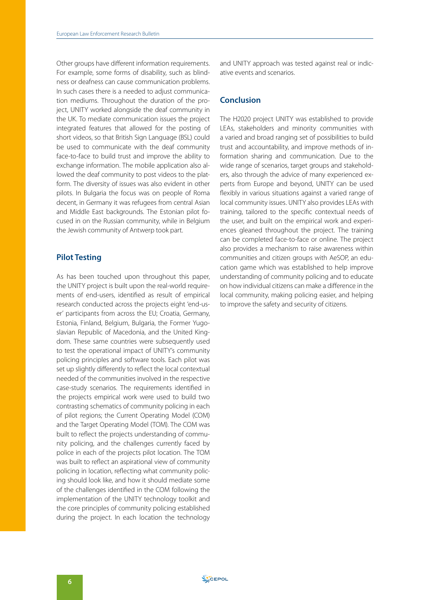Other groups have different information requirements. For example, some forms of disability, such as blindness or deafness can cause communication problems. In such cases there is a needed to adjust communication mediums. Throughout the duration of the project, UNITY worked alongside the deaf community in the UK. To mediate communication issues the project integrated features that allowed for the posting of short videos, so that British Sign Language (BSL) could be used to communicate with the deaf community face-to-face to build trust and improve the ability to exchange information. The mobile application also allowed the deaf community to post videos to the platform. The diversity of issues was also evident in other pilots. In Bulgaria the focus was on people of Roma decent, in Germany it was refugees from central Asian and Middle East backgrounds. The Estonian pilot focused in on the Russian community, while in Belgium the Jewish community of Antwerp took part.

#### **Pilot Testing**

As has been touched upon throughout this paper, the UNITY project is built upon the real-world requirements of end-users, identified as result of empirical research conducted across the projects eight 'end-user' participants from across the EU; Croatia, Germany, Estonia, Finland, Belgium, Bulgaria, the Former Yugoslavian Republic of Macedonia, and the United Kingdom. These same countries were subsequently used to test the operational impact of UNITY's community policing principles and software tools. Each pilot was set up slightly differently to reflect the local contextual needed of the communities involved in the respective case-study scenarios. The requirements identified in the projects empirical work were used to build two contrasting schematics of community policing in each of pilot regions; the Current Operating Model (COM) and the Target Operating Model (TOM). The COM was built to reflect the projects understanding of community policing, and the challenges currently faced by police in each of the projects pilot location. The TOM was built to reflect an aspirational view of community policing in location, reflecting what community policing should look like, and how it should mediate some of the challenges identified in the COM following the implementation of the UNITY technology toolkit and the core principles of community policing established during the project. In each location the technology and UNITY approach was tested against real or indicative events and scenarios.

#### **Conclusion**

The H2020 project UNITY was established to provide LEAs, stakeholders and minority communities with a varied and broad ranging set of possibilities to build trust and accountability, and improve methods of information sharing and communication. Due to the wide range of scenarios, target groups and stakeholders, also through the advice of many experienced experts from Europe and beyond, UNITY can be used flexibly in various situations against a varied range of local community issues. UNITY also provides LEAs with training, tailored to the specific contextual needs of the user, and built on the empirical work and experiences gleaned throughout the project. The training can be completed face-to-face or online. The project also provides a mechanism to raise awareness within communities and citizen groups with AeSOP, an education game which was established to help improve understanding of community policing and to educate on how individual citizens can make a difference in the local community, making policing easier, and helping to improve the safety and security of citizens.